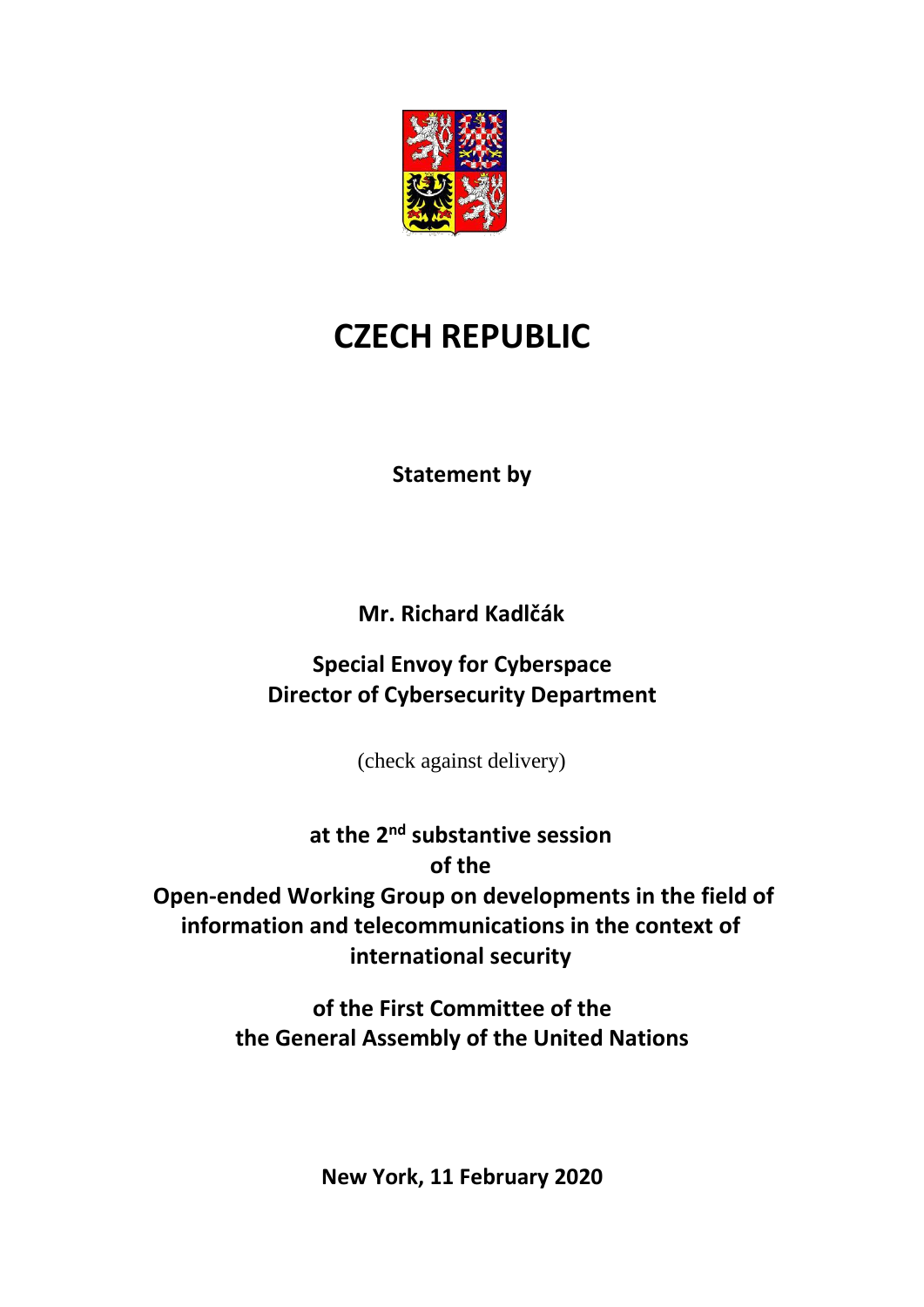

# **CZECH REPUBLIC**

**Statement by**

**Mr. Richard Kadlčák**

**Special Envoy for Cyberspace Director of Cybersecurity Department**

(check against delivery)

**at the 2 nd substantive session of the Open-ended Working Group on developments in the field of information and telecommunications in the context of international security**

> **of the First Committee of the the General Assembly of the United Nations**

> > **New York, 11 February 2020**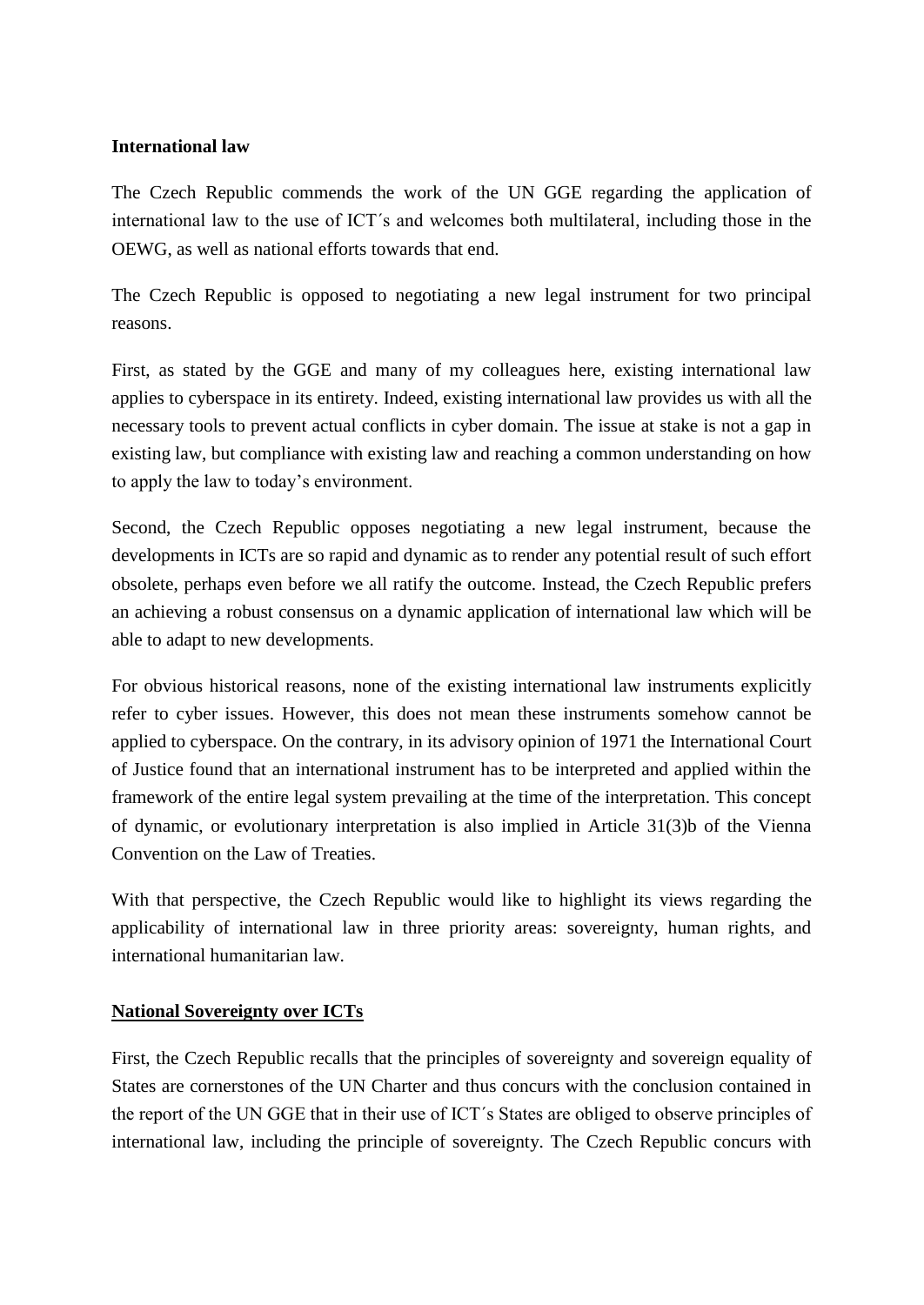### **International law**

The Czech Republic commends the work of the UN GGE regarding the application of international law to the use of ICT´s and welcomes both multilateral, including those in the OEWG, as well as national efforts towards that end.

The Czech Republic is opposed to negotiating a new legal instrument for two principal reasons.

First, as stated by the GGE and many of my colleagues here, existing international law applies to cyberspace in its entirety. Indeed, existing international law provides us with all the necessary tools to prevent actual conflicts in cyber domain. The issue at stake is not a gap in existing law, but compliance with existing law and reaching a common understanding on how to apply the law to today's environment.

Second, the Czech Republic opposes negotiating a new legal instrument, because the developments in ICTs are so rapid and dynamic as to render any potential result of such effort obsolete, perhaps even before we all ratify the outcome. Instead, the Czech Republic prefers an achieving a robust consensus on a dynamic application of international law which will be able to adapt to new developments.

For obvious historical reasons, none of the existing international law instruments explicitly refer to cyber issues. However, this does not mean these instruments somehow cannot be applied to cyberspace. On the contrary, in its advisory opinion of 1971 the International Court of Justice found that an international instrument has to be interpreted and applied within the framework of the entire legal system prevailing at the time of the interpretation. This concept of dynamic, or evolutionary interpretation is also implied in Article 31(3)b of the Vienna Convention on the Law of Treaties.

With that perspective, the Czech Republic would like to highlight its views regarding the applicability of international law in three priority areas: sovereignty, human rights, and international humanitarian law.

## **National Sovereignty over ICTs**

First, the Czech Republic recalls that the principles of sovereignty and sovereign equality of States are cornerstones of the UN Charter and thus concurs with the conclusion contained in the report of the UN GGE that in their use of ICT´s States are obliged to observe principles of international law, including the principle of sovereignty. The Czech Republic concurs with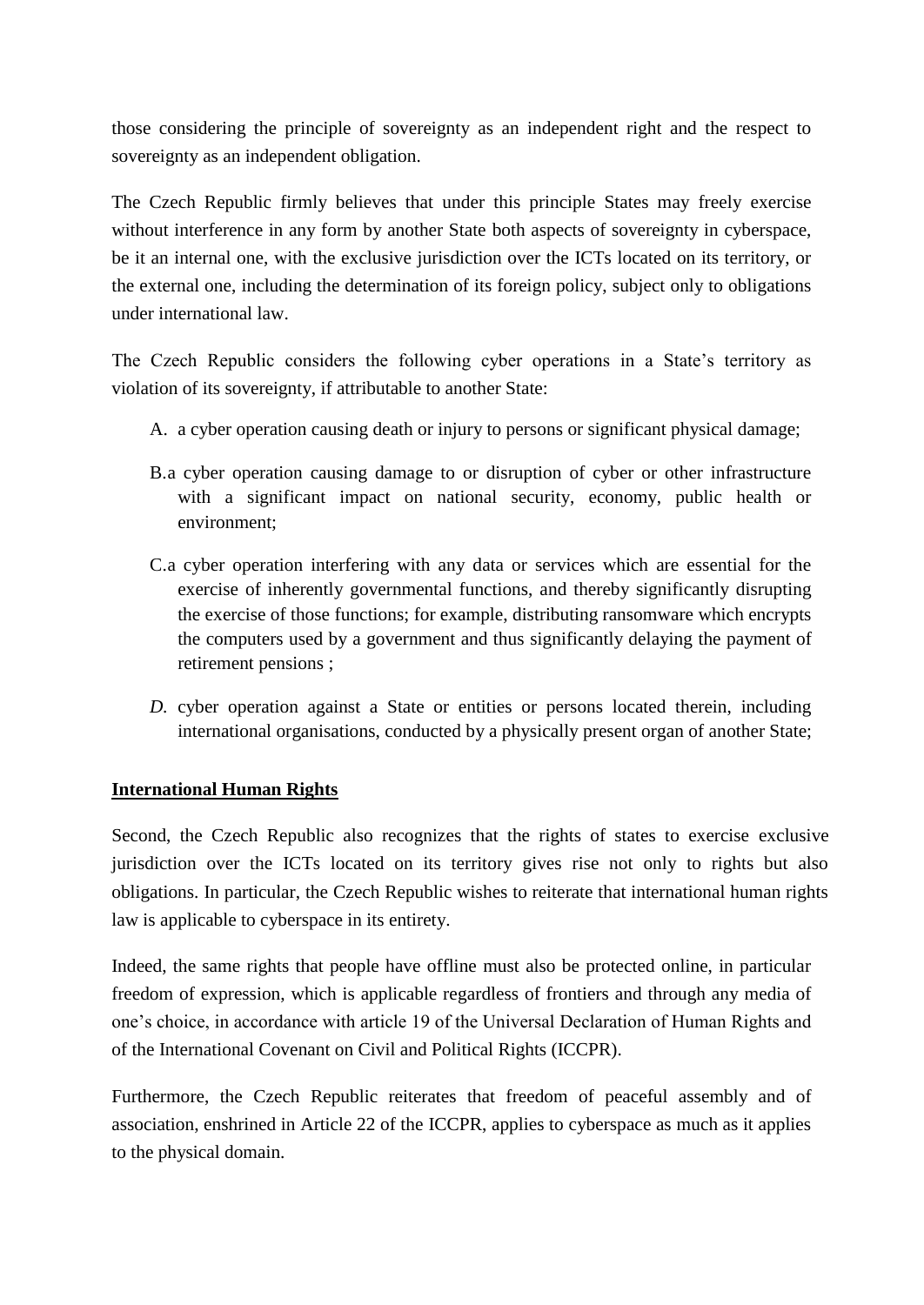those considering the principle of sovereignty as an independent right and the respect to sovereignty as an independent obligation.

The Czech Republic firmly believes that under this principle States may freely exercise without interference in any form by another State both aspects of sovereignty in cyberspace, be it an internal one, with the exclusive jurisdiction over the ICTs located on its territory, or the external one, including the determination of its foreign policy, subject only to obligations under international law.

The Czech Republic considers the following cyber operations in a State's territory as violation of its sovereignty, if attributable to another State:

- A. a cyber operation causing death or injury to persons or significant physical damage;
- B.a cyber operation causing damage to or disruption of cyber or other infrastructure with a significant impact on national security, economy, public health or environment;
- C.a cyber operation interfering with any data or services which are essential for the exercise of inherently governmental functions, and thereby significantly disrupting the exercise of those functions; for example, distributing ransomware which encrypts the computers used by a government and thus significantly delaying the payment of retirement pensions ;
- *D.* cyber operation against a State or entities or persons located therein, including international organisations, conducted by a physically present organ of another State;

## **International Human Rights**

Second, the Czech Republic also recognizes that the rights of states to exercise exclusive jurisdiction over the ICTs located on its territory gives rise not only to rights but also obligations. In particular, the Czech Republic wishes to reiterate that international human rights law is applicable to cyberspace in its entirety.

Indeed, the same rights that people have offline must also be protected online, in particular freedom of expression, which is applicable regardless of frontiers and through any media of one's choice, in accordance with article 19 of the Universal Declaration of Human Rights and of the International Covenant on Civil and Political Rights (ICCPR).

Furthermore, the Czech Republic reiterates that freedom of peaceful assembly and of association, enshrined in Article 22 of the ICCPR, applies to cyberspace as much as it applies to the physical domain.